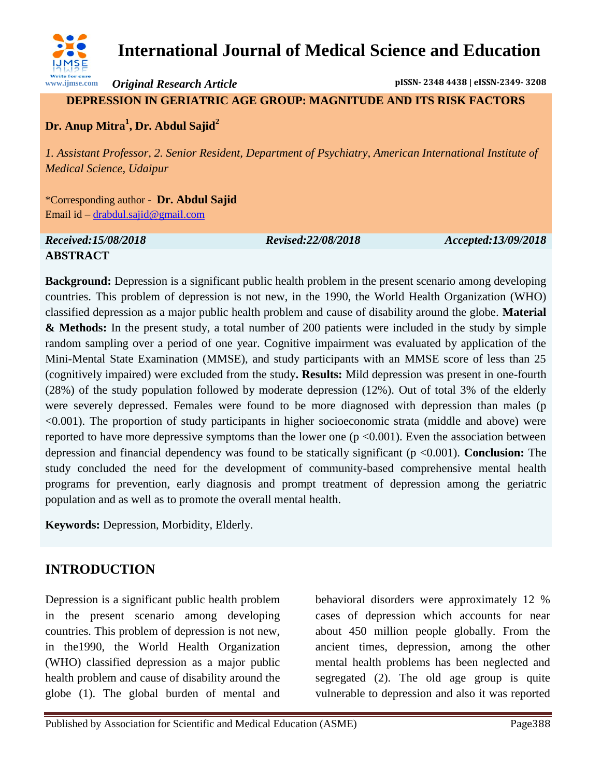

**www.ijmse.com**

*Original Research Article* **pISSN- 2348 4438 | eISSN-2349- 3208**

**DEPRESSION IN GERIATRIC AGE GROUP: MAGNITUDE AND ITS RISK FACTORS**

# **Dr. Anup Mitra<sup>1</sup> , Dr. Abdul Sajid<sup>2</sup>**

*1. Assistant Professor, 2. Senior Resident, Department of Psychiatry, American International Institute of Medical Science, Udaipur* 

\*Corresponding author - **Dr. Abdul Sajid** Email id – [drabdul.sajid@gmail.com](mailto:drabdul.sajid@gmail.com)

#### *Received:15/08/2018 Revised:22/08/2018 Accepted:13/09/2018*

### **ABSTRACT**

**Background:** Depression is a significant public health problem in the present scenario among developing countries. This problem of depression is not new, in the 1990, the World Health Organization (WHO) classified depression as a major public health problem and cause of disability around the globe. **Material & Methods:** In the present study, a total number of 200 patients were included in the study by simple random sampling over a period of one year. Cognitive impairment was evaluated by application of the Mini-Mental State Examination (MMSE), and study participants with an MMSE score of less than 25 (cognitively impaired) were excluded from the study**. Results:** Mild depression was present in one-fourth (28%) of the study population followed by moderate depression (12%). Out of total 3% of the elderly were severely depressed. Females were found to be more diagnosed with depression than males (p <0.001). The proportion of study participants in higher socioeconomic strata (middle and above) were reported to have more depressive symptoms than the lower one  $(p < 0.001)$ . Even the association between depression and financial dependency was found to be statically significant (p <0.001). **Conclusion:** The study concluded the need for the development of community-based comprehensive mental health programs for prevention, early diagnosis and prompt treatment of depression among the geriatric population and as well as to promote the overall mental health.

**Keywords:** Depression, Morbidity, Elderly.

# **INTRODUCTION**

Depression is a significant public health problem in the present scenario among developing countries. This problem of depression is not new, in the1990, the World Health Organization (WHO) classified depression as a major public health problem and cause of disability around the globe (1). The global burden of mental and behavioral disorders were approximately 12 % cases of depression which accounts for near about 450 million people globally. From the ancient times, depression, among the other mental health problems has been neglected and segregated (2). The old age group is quite vulnerable to depression and also it was reported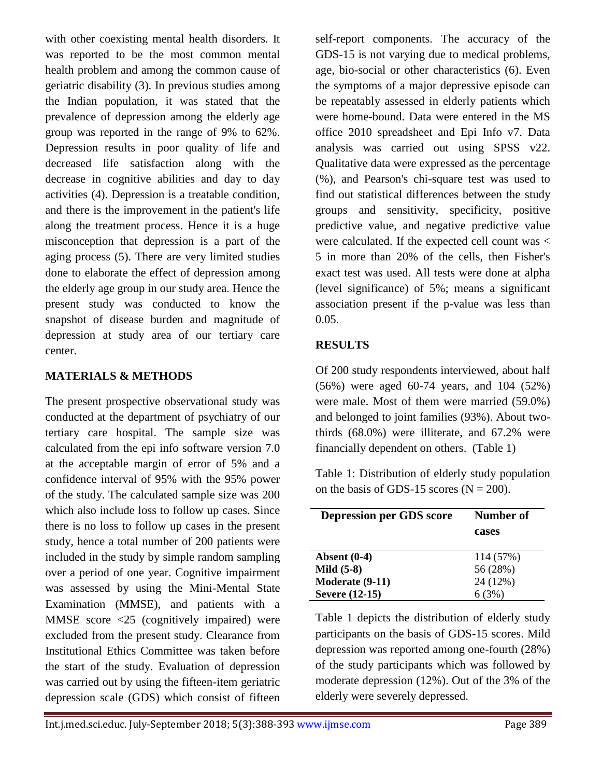with other coexisting mental health disorders. It was reported to be the most common mental health problem and among the common cause of geriatric disability (3). In previous studies among the Indian population, it was stated that the prevalence of depression among the elderly age group was reported in the range of 9% to 62%. Depression results in poor quality of life and decreased life satisfaction along with the decrease in cognitive abilities and day to day activities (4). Depression is a treatable condition, and there is the improvement in the patient's life along the treatment process. Hence it is a huge misconception that depression is a part of the aging process (5). There are very limited studies done to elaborate the effect of depression among the elderly age group in our study area. Hence the present study was conducted to know the snapshot of disease burden and magnitude of depression at study area of our tertiary care center.

### **MATERIALS & METHODS**

The present prospective observational study was conducted at the department of psychiatry of our tertiary care hospital. The sample size was calculated from the epi info software version 7.0 at the acceptable margin of error of 5% and a confidence interval of 95% with the 95% power of the study. The calculated sample size was 200 which also include loss to follow up cases. Since there is no loss to follow up cases in the present study, hence a total number of 200 patients were included in the study by simple random sampling over a period of one year. Cognitive impairment was assessed by using the Mini-Mental State Examination (MMSE), and patients with a MMSE score <25 (cognitively impaired) were excluded from the present study. Clearance from Institutional Ethics Committee was taken before the start of the study. Evaluation of depression was carried out by using the fifteen-item geriatric depression scale (GDS) which consist of fifteen self-report components. The accuracy of the GDS-15 is not varying due to medical problems, age, bio-social or other characteristics (6). Even the symptoms of a major depressive episode can be repeatably assessed in elderly patients which were home-bound. Data were entered in the MS office 2010 spreadsheet and Epi Info v7. Data analysis was carried out using SPSS v22. Qualitative data were expressed as the percentage (%), and Pearson's chi-square test was used to find out statistical differences between the study groups and sensitivity, specificity, positive predictive value, and negative predictive value were calculated. If the expected cell count was < 5 in more than 20% of the cells, then Fisher's exact test was used. All tests were done at alpha (level significance) of 5%; means a significant association present if the p-value was less than 0.05.

#### **RESULTS**

Of 200 study respondents interviewed, about half (56%) were aged 60-74 years, and 104 (52%) were male. Most of them were married (59.0%) and belonged to joint families (93%). About twothirds (68.0%) were illiterate, and 67.2% were financially dependent on others. (Table 1)

Table 1: Distribution of elderly study population on the basis of GDS-15 scores ( $N = 200$ ).

| <b>Depression per GDS score</b> | Number of<br>cases |
|---------------------------------|--------------------|
| Absent $(0-4)$                  | 114 (57%)          |
| Mild $(5-8)$                    | 56 (28%)           |
| Moderate (9-11)                 | 24 (12%)           |
| <b>Severe</b> (12-15)           | 6(3%)              |

Table 1 depicts the distribution of elderly study participants on the basis of GDS-15 scores. Mild depression was reported among one-fourth (28%) of the study participants which was followed by moderate depression (12%). Out of the 3% of the elderly were severely depressed.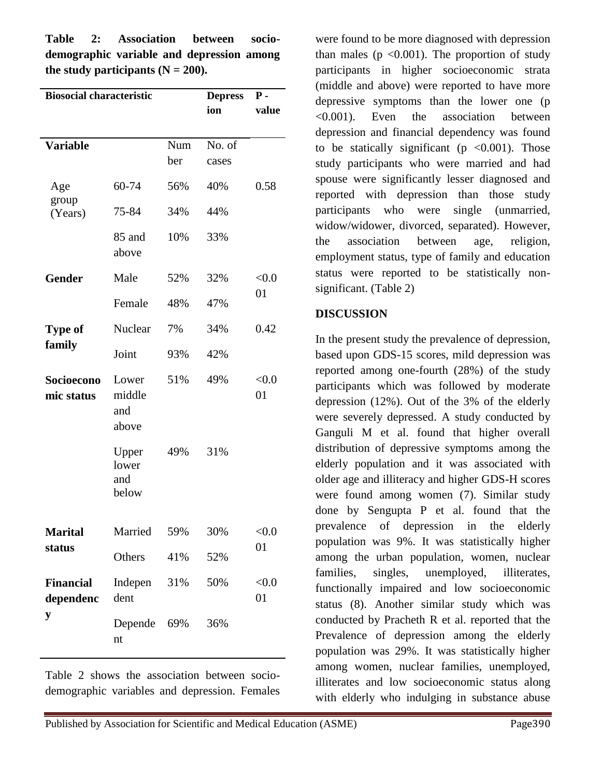**Table 2: Association between sociodemographic variable and depression among**  the study participants  $(N = 200)$ .

| <b>Biosocial characteristic</b>    |                                 |            | <b>Depress</b><br>ion | $P -$<br>value |
|------------------------------------|---------------------------------|------------|-----------------------|----------------|
| <b>Variable</b>                    |                                 | Num<br>ber | No. of<br>cases       |                |
| Age<br>group<br>(Years)            | 60-74                           | 56%        | 40%                   | 0.58           |
|                                    | 75-84                           | 34%        | 44%                   |                |
|                                    | 85 and<br>above                 | 10%        | 33%                   |                |
| <b>Gender</b>                      | Male                            | 52%        | 32%                   | < 0.0<br>01    |
|                                    | Female                          | 48%        | 47%                   |                |
| <b>Type of</b><br>family           | Nuclear                         | 7%         | 34%                   | 0.42           |
|                                    | Joint                           | 93%        | 42%                   |                |
| Socioecono<br>mic status           | Lower<br>middle<br>and<br>above | 51%        | 49%                   | < 0.0<br>01    |
|                                    | Upper<br>lower<br>and<br>below  | 49%        | 31%                   |                |
| <b>Marital</b><br>status           | Married                         | 59%        | 30%                   | < 0.0<br>01    |
|                                    | Others                          | 41%        | 52%                   |                |
| <b>Financial</b><br>dependenc<br>y | Indepen<br>dent                 | 31%        | 50%                   | < 0.0<br>01    |
|                                    | Depende<br>nt                   | 69%        | 36%                   |                |

Table 2 shows the association between sociodemographic variables and depression. Females were found to be more diagnosed with depression than males ( $p \le 0.001$ ). The proportion of study participants in higher socioeconomic strata (middle and above) were reported to have more depressive symptoms than the lower one (p <0.001). Even the association between depression and financial dependency was found to be statically significant ( $p \le 0.001$ ). Those study participants who were married and had spouse were significantly lesser diagnosed and reported with depression than those study participants who were single (unmarried, widow/widower, divorced, separated). However, the association between age, religion, employment status, type of family and education status were reported to be statistically nonsignificant. (Table 2)

#### **DISCUSSION**

In the present study the prevalence of depression, based upon GDS-15 scores, mild depression was reported among one-fourth (28%) of the study participants which was followed by moderate depression (12%). Out of the 3% of the elderly were severely depressed. A study conducted by Ganguli M et al. found that higher overall distribution of depressive symptoms among the elderly population and it was associated with older age and illiteracy and higher GDS-H scores were found among women (7). Similar study done by Sengupta P et al. found that the prevalence of depression in the elderly population was 9%. It was statistically higher among the urban population, women, nuclear families, singles, unemployed, illiterates, functionally impaired and low socioeconomic status (8). Another similar study which was conducted by Pracheth R et al. reported that the Prevalence of depression among the elderly population was 29%. It was statistically higher among women, nuclear families, unemployed, illiterates and low socioeconomic status along with elderly who indulging in substance abuse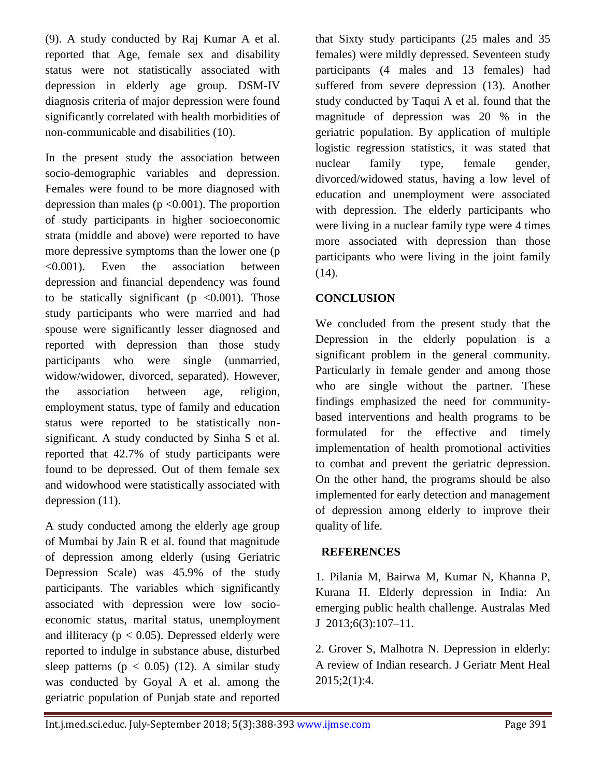(9). A study conducted by Raj Kumar A et al. reported that Age, female sex and disability status were not statistically associated with depression in elderly age group. DSM-IV diagnosis criteria of major depression were found significantly correlated with health morbidities of non-communicable and disabilities (10).

In the present study the association between socio-demographic variables and depression. Females were found to be more diagnosed with depression than males ( $p \le 0.001$ ). The proportion of study participants in higher socioeconomic strata (middle and above) were reported to have more depressive symptoms than the lower one (p <0.001). Even the association between depression and financial dependency was found to be statically significant ( $p \lt 0.001$ ). Those study participants who were married and had spouse were significantly lesser diagnosed and reported with depression than those study participants who were single (unmarried, widow/widower, divorced, separated). However, the association between age, religion, employment status, type of family and education status were reported to be statistically nonsignificant. A study conducted by Sinha S et al. reported that 42.7% of study participants were found to be depressed. Out of them female sex and widowhood were statistically associated with depression (11).

A study conducted among the elderly age group of Mumbai by Jain R et al. found that magnitude of depression among elderly (using Geriatric Depression Scale) was 45.9% of the study participants. The variables which significantly associated with depression were low socioeconomic status, marital status, unemployment and illiteracy ( $p < 0.05$ ). Depressed elderly were reported to indulge in substance abuse, disturbed sleep patterns ( $p < 0.05$ ) (12). A similar study was conducted by Goyal A et al. among the geriatric population of Punjab state and reported that Sixty study participants (25 males and 35 females) were mildly depressed. Seventeen study participants (4 males and 13 females) had suffered from severe depression (13). Another study conducted by Taqui A et al. found that the magnitude of depression was 20 % in the geriatric population. By application of multiple logistic regression statistics, it was stated that nuclear family type, female gender, divorced/widowed status, having a low level of education and unemployment were associated with depression. The elderly participants who were living in a nuclear family type were 4 times more associated with depression than those participants who were living in the joint family  $(14)$ .

# **CONCLUSION**

We concluded from the present study that the Depression in the elderly population is a significant problem in the general community. Particularly in female gender and among those who are single without the partner. These findings emphasized the need for communitybased interventions and health programs to be formulated for the effective and timely implementation of health promotional activities to combat and prevent the geriatric depression. On the other hand, the programs should be also implemented for early detection and management of depression among elderly to improve their quality of life.

## **REFERENCES**

1. Pilania M, Bairwa M, Kumar N, Khanna P, Kurana H. Elderly depression in India: An emerging public health challenge. Australas Med J 2013;6(3):107–11.

2. Grover S, Malhotra N. Depression in elderly: A review of Indian research. J Geriatr Ment Heal 2015;2(1):4.